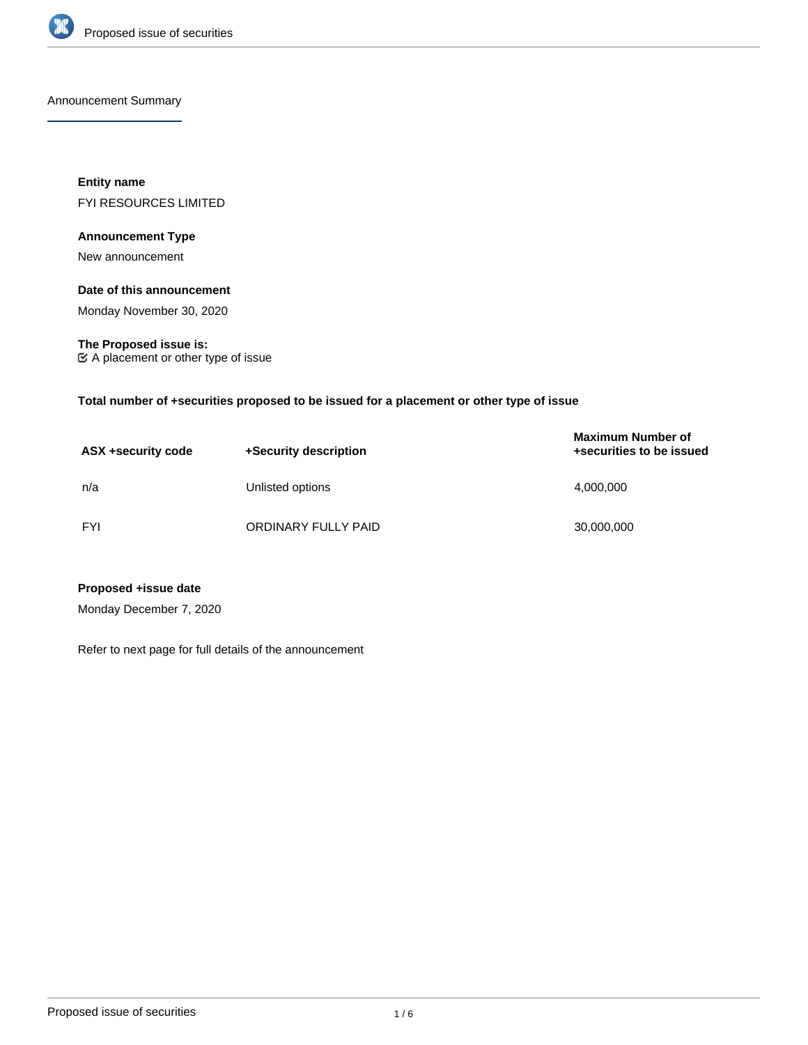

Announcement Summary

**Entity name** FYI RESOURCES LIMITED

## **Announcement Type**

New announcement

## **Date of this announcement**

Monday November 30, 2020

**The Proposed issue is:** A placement or other type of issue

**Total number of +securities proposed to be issued for a placement or other type of issue**

| ASX +security code | +Security description | <b>Maximum Number of</b><br>+securities to be issued |
|--------------------|-----------------------|------------------------------------------------------|
| n/a                | Unlisted options      | 4,000,000                                            |
| <b>FYI</b>         | ORDINARY FULLY PAID   | 30,000,000                                           |

**Proposed +issue date**

Monday December 7, 2020

Refer to next page for full details of the announcement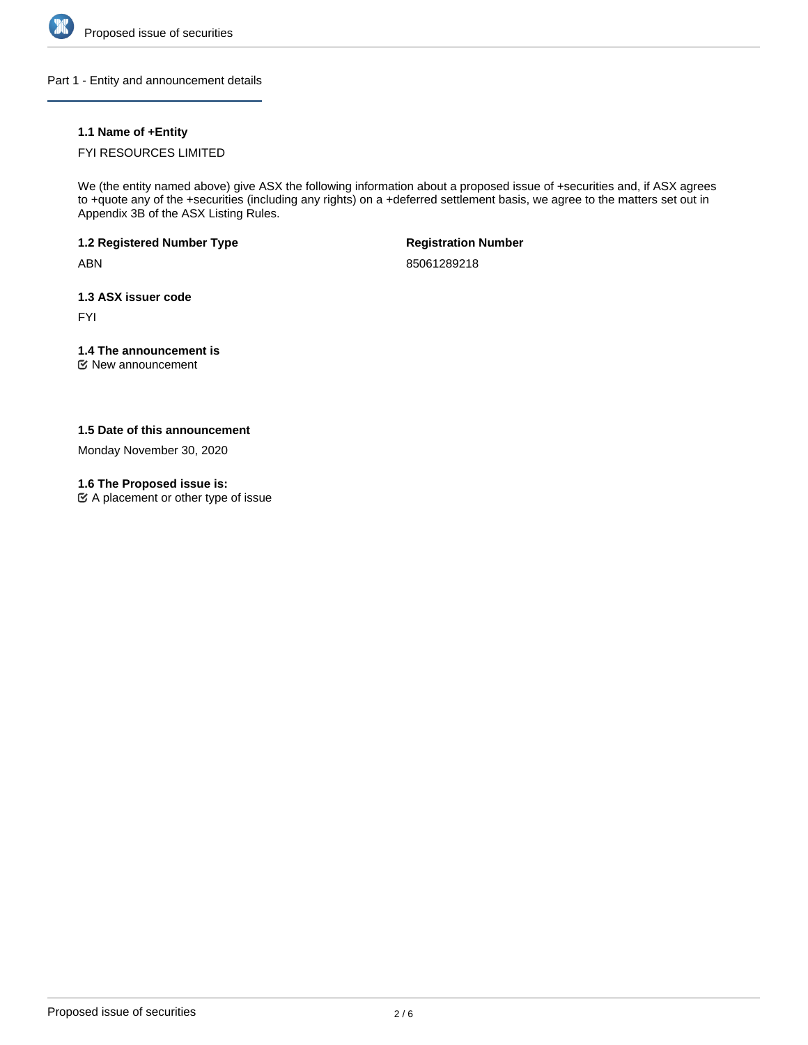

Part 1 - Entity and announcement details

## **1.1 Name of +Entity**

## FYI RESOURCES LIMITED

We (the entity named above) give ASX the following information about a proposed issue of +securities and, if ASX agrees to +quote any of the +securities (including any rights) on a +deferred settlement basis, we agree to the matters set out in Appendix 3B of the ASX Listing Rules.

**1.2 Registered Number Type**

ABN

**Registration Number**

85061289218

**1.3 ASX issuer code**

FYI

## **1.4 The announcement is**

New announcement

## **1.5 Date of this announcement**

Monday November 30, 2020

## **1.6 The Proposed issue is:**

 $\mathfrak{C}$  A placement or other type of issue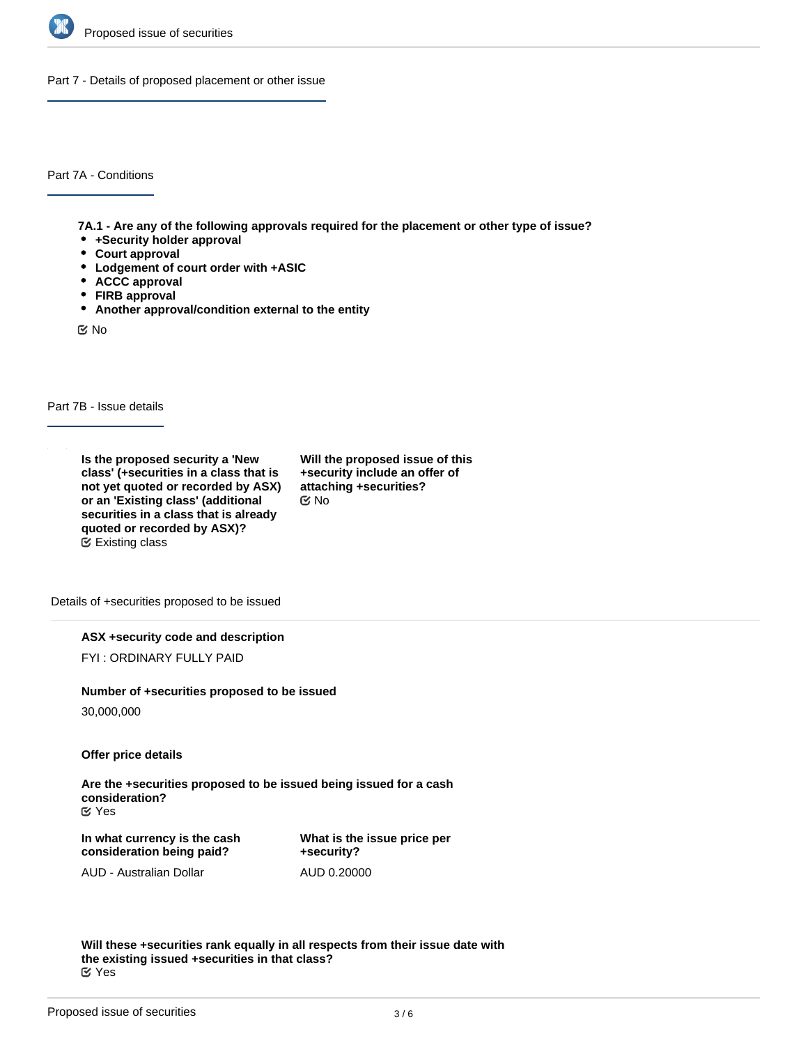

Part 7 - Details of proposed placement or other issue

Part 7A - Conditions

**7A.1 - Are any of the following approvals required for the placement or other type of issue?**

- **+Security holder approval**
- **Court approval**
- **Lodgement of court order with +ASIC**
- **ACCC approval**
- **FIRB approval**
- **Another approval/condition external to the entity**

No

Part 7B - Issue details

**Is the proposed security a 'New class' (+securities in a class that is not yet quoted or recorded by ASX) or an 'Existing class' (additional securities in a class that is already quoted or recorded by ASX)?** Existing class

**Will the proposed issue of this +security include an offer of attaching +securities?** No

Details of +securities proposed to be issued

**ASX +security code and description**

FYI : ORDINARY FULLY PAID

#### **Number of +securities proposed to be issued**

30,000,000

**Offer price details**

**Are the +securities proposed to be issued being issued for a cash consideration?** Yes

**In what currency is the cash consideration being paid?**

**What is the issue price per +security?** AUD 0.20000

AUD - Australian Dollar

**Will these +securities rank equally in all respects from their issue date with the existing issued +securities in that class?** Yes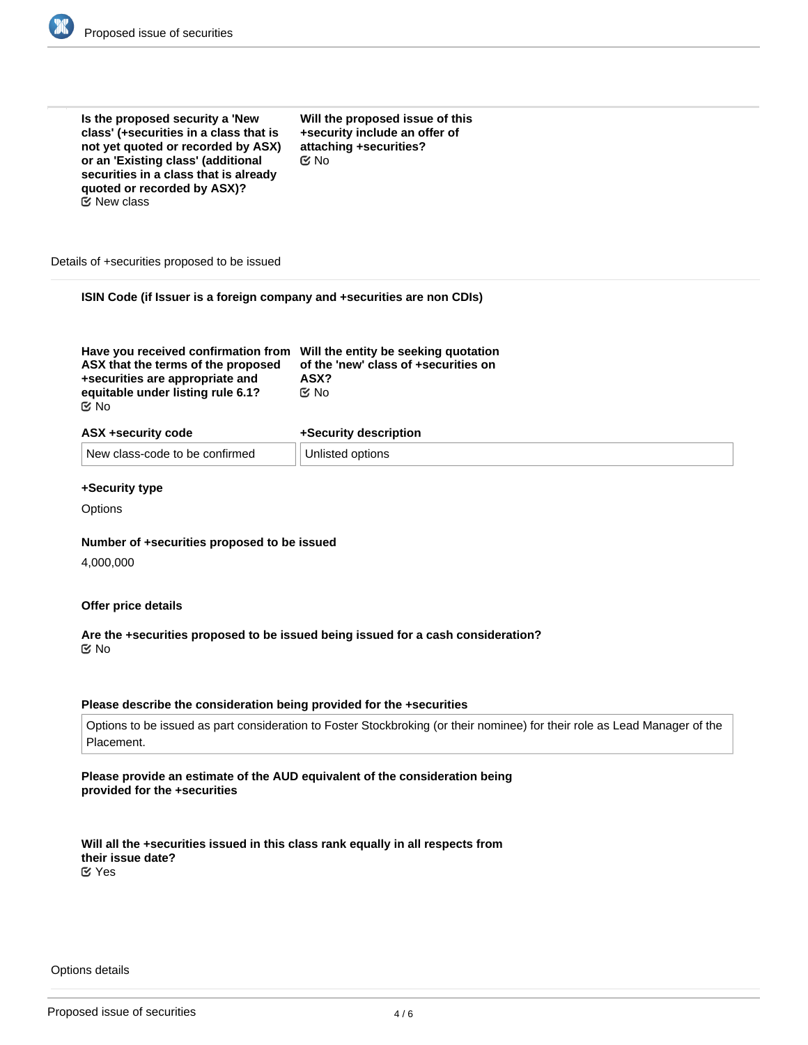

| Is the proposed security a 'New<br>class' (+securities in a class that is<br>not yet quoted or recorded by ASX)<br>or an 'Existing class' (additional<br>securities in a class that is already<br>quoted or recorded by ASX)?<br><b>E</b> ⁄ New class | Will the proposed issue of this<br>+security include an offer of<br>attaching +securities?<br>$\mathfrak{C}$ No |  |
|-------------------------------------------------------------------------------------------------------------------------------------------------------------------------------------------------------------------------------------------------------|-----------------------------------------------------------------------------------------------------------------|--|
| Details of +securities proposed to be issued                                                                                                                                                                                                          |                                                                                                                 |  |
| ISIN Code (if Issuer is a foreign company and +securities are non CDIs)                                                                                                                                                                               |                                                                                                                 |  |
| Have you received confirmation from Will the entity be seeking quotation<br>ASX that the terms of the proposed<br>+securities are appropriate and<br>equitable under listing rule 6.1?<br><b>≝</b> No                                                 | of the 'new' class of +securities on<br>ASX?<br>় No                                                            |  |
| ASX +security code                                                                                                                                                                                                                                    | +Security description                                                                                           |  |
| New class-code to be confirmed                                                                                                                                                                                                                        | Unlisted options                                                                                                |  |

## **+Security type**

**Options** 

#### **Number of +securities proposed to be issued**

4,000,000

#### **Offer price details**

## **Are the +securities proposed to be issued being issued for a cash consideration?** No

## **Please describe the consideration being provided for the +securities**

Options to be issued as part consideration to Foster Stockbroking (or their nominee) for their role as Lead Manager of the Placement.

## **Please provide an estimate of the AUD equivalent of the consideration being provided for the +securities**

**Will all the +securities issued in this class rank equally in all respects from their issue date?** Yes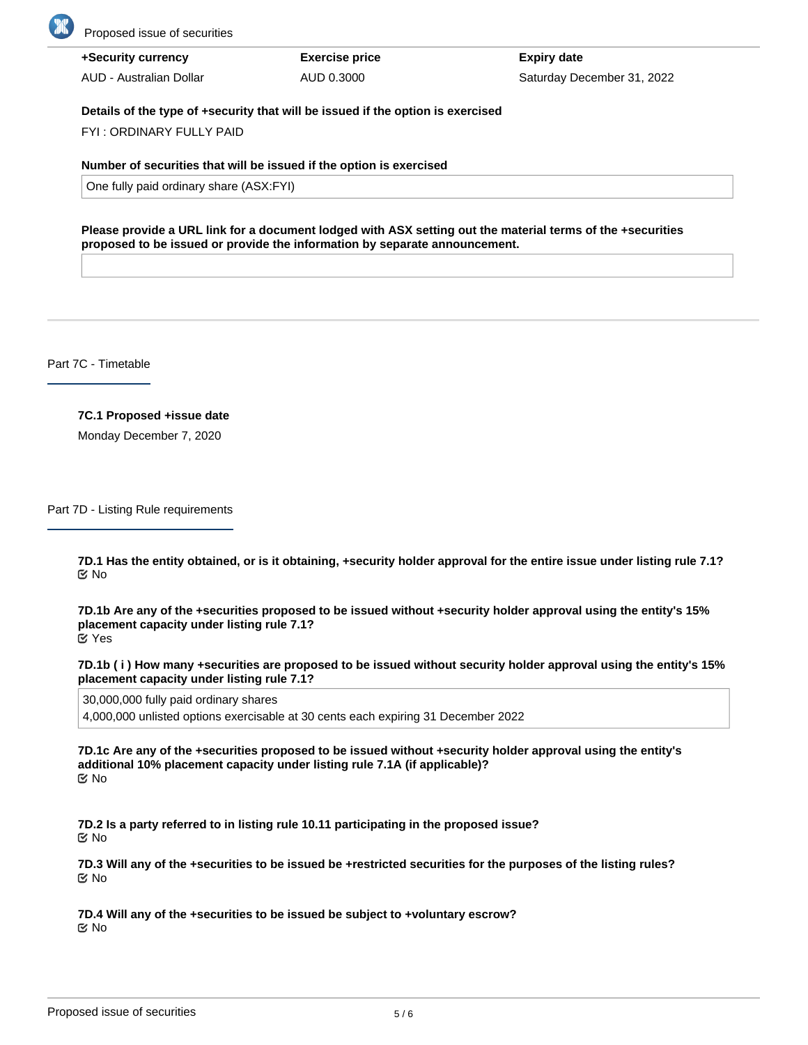

Proposed issue of securities

| +Security currency      | <b>Exercise price</b> | <b>Expiry date</b>         |
|-------------------------|-----------------------|----------------------------|
| AUD - Australian Dollar | AUD 0.3000            | Saturday December 31, 2022 |

#### **Details of the type of +security that will be issued if the option is exercised**

FYI : ORDINARY FULLY PAID

#### **Number of securities that will be issued if the option is exercised**

One fully paid ordinary share (ASX:FYI)

**Please provide a URL link for a document lodged with ASX setting out the material terms of the +securities proposed to be issued or provide the information by separate announcement.**

Part 7C - Timetable

## **7C.1 Proposed +issue date**

Monday December 7, 2020

Part 7D - Listing Rule requirements

**7D.1 Has the entity obtained, or is it obtaining, +security holder approval for the entire issue under listing rule 7.1?** No

**7D.1b Are any of the +securities proposed to be issued without +security holder approval using the entity's 15% placement capacity under listing rule 7.1?** Yes

**7D.1b ( i ) How many +securities are proposed to be issued without security holder approval using the entity's 15% placement capacity under listing rule 7.1?**

30,000,000 fully paid ordinary shares

4,000,000 unlisted options exercisable at 30 cents each expiring 31 December 2022

**7D.1c Are any of the +securities proposed to be issued without +security holder approval using the entity's additional 10% placement capacity under listing rule 7.1A (if applicable)?** No

**7D.2 Is a party referred to in listing rule 10.11 participating in the proposed issue?** No

**7D.3 Will any of the +securities to be issued be +restricted securities for the purposes of the listing rules?** No

**7D.4 Will any of the +securities to be issued be subject to +voluntary escrow?** No